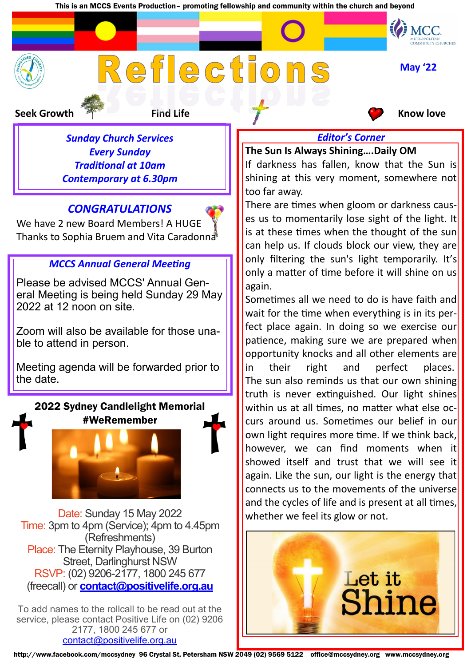This is an MCCS Events Production– promoting fellowship and community within the church and beyond

# Reflections

**Seek Growth Find Life Know love Find Life** Know love

*Sunday Church Services Every Sunday Traditional at 10am Contemporary at 6.30pm*

# *CONGRATULATIONS*



# *MCCS Annual General Meeting*

Please be advised MCCS' Annual General Meeting is being held Sunday 29 May 2022 at 12 noon on site.

Zoom will also be available for those unable to attend in person.

Meeting agenda will be forwarded prior to the date.

2022 Sydney Candlelight Memorial

#WeRemember



Date: Sunday 15 May 2022 Time: 3pm to 4pm (Service); 4pm to 4.45pm (Refreshments) Place: The Eternity Playhouse, 39 Burton Street, Darlinghurst NSW RSVP: (02) 9206-2177, 1800 245 677 (freecall) or **[contact@positivelife.org.au](mailto:contact@positivelife.org.au?subject=MY%20RSVP%20to%202022%20Sydney%20Candlelight%20Memorial%20-%20Sunday%2015%20May%203pm)**

To add names to the rollcall to be read out at the service, please contact Positive Life on (02) 9206 2177, 1800 245 677 or [contact@positivelife.org.au](mailto:contact@positivelife.org.au?subject=Name%2Fs%20to%20add%20to%20the%20Candlelight%20Memorial%20Rollcall)

**May '22**

MCC.

**The Sun Is Always Shining….Daily OM**

If darkness has fallen, know that the Sun is shining at this very moment, somewhere not too far away.

*Editor's Corner* 

There are times when gloom or darkness causes us to momentarily lose sight of the light. It is at these times when the thought of the sun can help us. If clouds block our view, they are only filtering the sun's light temporarily. It's only a matter of time before it will shine on us again.

Sometimes all we need to do is have faith and wait for the time when everything is in its perfect place again. In doing so we exercise our patience, making sure we are prepared when opportunity knocks and all other elements are in their right and perfect places. The sun also reminds us that our own shining truth is never extinguished. Our light shines within us at all times, no matter what else occurs around us. Sometimes our belief in our own light requires more time. If we think back, however, we can find moments when it showed itself and trust that we will see it again. Like the sun, our light is the energy that connects us to the movements of the universe and the cycles of life and is present at all times, whether we feel its glow or not.

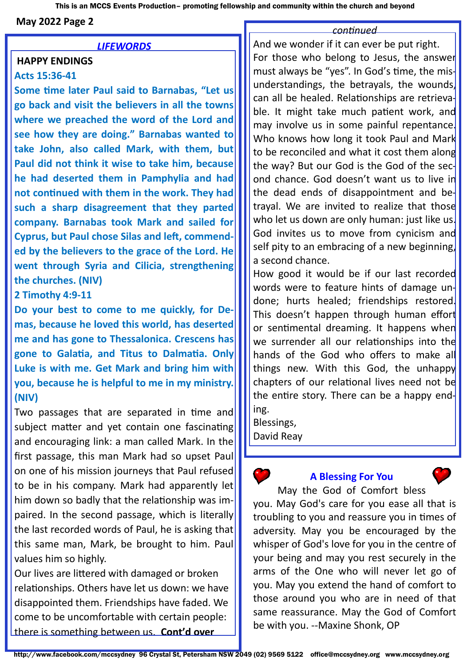This is an MCCS Events Production– promoting fellowship and community within the church and beyond

**May 2022 Page 2** 

### *LIFEWORDS*

## **HAPPY ENDINGS**

### **Acts 15:36-41**

**Some time later Paul said to Barnabas, "Let us go back and visit the believers in all the towns where we preached the word of the Lord and see how they are doing." Barnabas wanted to take John, also called Mark, with them, but Paul did not think it wise to take him, because he had deserted them in Pamphylia and had not continued with them in the work. They had such a sharp disagreement that they parted company. Barnabas took Mark and sailed for Cyprus, but Paul chose Silas and left, commended by the believers to the grace of the Lord. He went through Syria and Cilicia, strengthening the churches. (NIV)**

### **2 Timothy 4:9-11**

**Do your best to come to me quickly, for Demas, because he loved this world, has deserted me and has gone to Thessalonica. Crescens has gone to Galatia, and Titus to Dalmatia. Only Luke is with me. Get Mark and bring him with you, because he is helpful to me in my ministry. (NIV)**

Two passages that are separated in time and subject matter and yet contain one fascinating and encouraging link: a man called Mark. In the first passage, this man Mark had so upset Paul on one of his mission journeys that Paul refused to be in his company. Mark had apparently let him down so badly that the relationship was impaired. In the second passage, which is literally the last recorded words of Paul, he is asking that this same man, Mark, be brought to him. Paul values him so highly.

Our lives are littered with damaged or broken relationships. Others have let us down: we have disappointed them. Friendships have faded. We come to be uncomfortable with certain people: there is something between us. **Cont'd over**

### *continued*

And we wonder if it can ever be put right. For those who belong to Jesus, the answer must always be "yes". In God's time, the misunderstandings, the betrayals, the wounds, can all be healed. Relationships are retrievable. It might take much patient work, and may involve us in some painful repentance. Who knows how long it took Paul and Mark to be reconciled and what it cost them along the way? But our God is the God of the second chance. God doesn't want us to live in the dead ends of disappointment and betrayal. We are invited to realize that those who let us down are only human: just like us. God invites us to move from cynicism and self pity to an embracing of a new beginning, a second chance.

How good it would be if our last recorded words were to feature hints of damage undone; hurts healed; friendships restored. This doesn't happen through human effort or sentimental dreaming. It happens when we surrender all our relationships into the hands of the God who offers to make all things new. With this God, the unhappy chapters of our relational lives need not be the entire story. There can be a happy ending.

Blessings, David Reay

### **A Blessing For You**



May the God of Comfort bless you. May God's care for you ease all that is troubling to you and reassure you in times of adversity. May you be encouraged by the whisper of God's love for you in the centre of your being and may you rest securely in the arms of the One who will never let go of you. May you extend the hand of comfort to those around you who are in need of that same reassurance. May the God of Comfort be with you. --Maxine Shonk, OP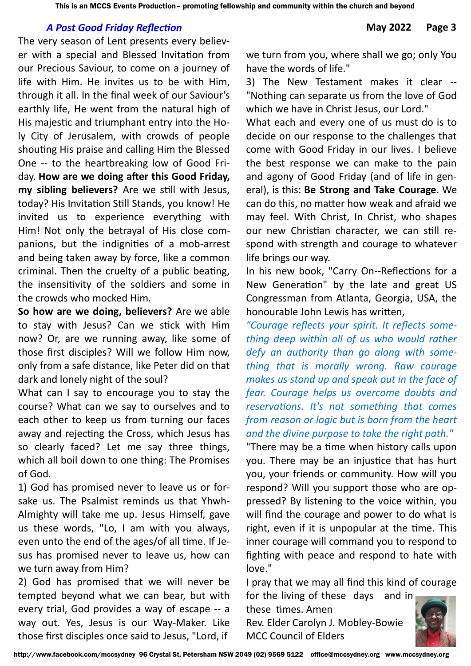### *A Post Good Friday Reflection* **May 2022 Page 3**

The very season of Lent presents every believer with a special and Blessed Invitation from our Precious Saviour, to come on a journey of life with Him. He invites us to be with Him, through it all. In the final week of our Saviour's earthly life, He went from the natural high of His majestic and triumphant entry into the Holy City of Jerusalem, with crowds of people shouting His praise and calling Him the Blessed One -- to the heartbreaking low of Good Friday. **How are we doing after this Good Friday, my sibling believers?** Are we still with Jesus, today? His Invitation Still Stands, you know! He invited us to experience everything with Him! Not only the betrayal of His close companions, but the indignities of a mob-arrest and being taken away by force, like a common criminal. Then the cruelty of a public beating, the insensitivity of the soldiers and some in the crowds who mocked Him.

**So how are we doing, believers?** Are we able to stay with Jesus? Can we stick with Him now? Or, are we running away, like some of those first disciples? Will we follow Him now, only from a safe distance, like Peter did on that dark and lonely night of the soul?

What can I say to encourage you to stay the course? What can we say to ourselves and to each other to keep us from turning our faces away and rejecting the Cross, which Jesus has so clearly faced? Let me say three things, which all boil down to one thing: The Promises of God.

1) God has promised never to leave us or forsake us. The Psalmist reminds us that Yhwh-Almighty will take me up. Jesus Himself, gave us these words, "Lo, I am with you always, even unto the end of the ages/of all time. If Jesus has promised never to leave us, how can we turn away from Him?

2) God has promised that we will never be tempted beyond what we can bear, but with every trial, God provides a way of escape -- a way out. Yes, Jesus is our Way-Maker. Like those first disciples once said to Jesus, "Lord, if

we turn from you, where shall we go; only You have the words of life."

3) The New Testament makes it clear -- "Nothing can separate us from the love of God which we have in Christ Jesus, our Lord."

What each and every one of us must do is to decide on our response to the challenges that come with Good Friday in our lives. I believe the best response we can make to the pain and agony of Good Friday (and of life in general), is this: **Be Strong and Take Courage**. We can do this, no matter how weak and afraid we may feel. With Christ, In Christ, who shapes our new Christian character, we can still respond with strength and courage to whatever life brings our way.

In his new book, "Carry On--Reflections for a New Generation" by the late and great US Congressman from Atlanta, Georgia, USA, the honourable John Lewis has written,

*"Courage reflects your spirit. It reflects something deep within all of us who would rather defy an authority than go along with something that is morally wrong. Raw courage makes us stand up and speak out in the face of fear. Courage helps us overcome doubts and reservations. It's not something that comes from reason or logic but is born from the heart and the divine purpose to take the right path."*

"There may be a time when history calls upon you. There may be an injustice that has hurt you, your friends or community. How will you respond? Will you support those who are oppressed? By listening to the voice within, you will find the courage and power to do what is right, even if it is unpopular at the time. This inner courage will command you to respond to fighting with peace and respond to hate with love."

I pray that we may all find this kind of courage for the living of these days and in

these times. Amen Rev. Elder Carolyn J. Mobley-Bowie MCC Council of Elders